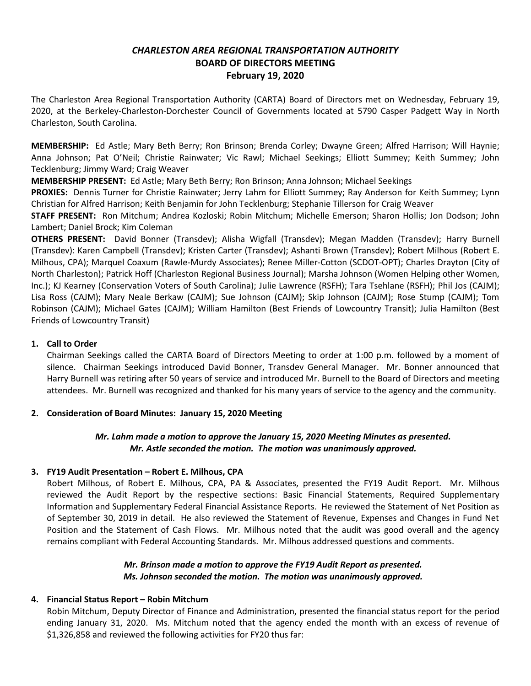# *CHARLESTON AREA REGIONAL TRANSPORTATION AUTHORITY* **BOARD OF DIRECTORS MEETING February 19, 2020**

The Charleston Area Regional Transportation Authority (CARTA) Board of Directors met on Wednesday, February 19, 2020, at the Berkeley-Charleston-Dorchester Council of Governments located at 5790 Casper Padgett Way in North Charleston, South Carolina.

**MEMBERSHIP:** Ed Astle; Mary Beth Berry; Ron Brinson; Brenda Corley; Dwayne Green; Alfred Harrison; Will Haynie; Anna Johnson; Pat O'Neil; Christie Rainwater; Vic Rawl; Michael Seekings; Elliott Summey; Keith Summey; John Tecklenburg; Jimmy Ward; Craig Weaver

**MEMBERSHIP PRESENT:** Ed Astle; Mary Beth Berry; Ron Brinson; Anna Johnson; Michael Seekings

**PROXIES:** Dennis Turner for Christie Rainwater; Jerry Lahm for Elliott Summey; Ray Anderson for Keith Summey; Lynn Christian for Alfred Harrison; Keith Benjamin for John Tecklenburg; Stephanie Tillerson for Craig Weaver

**STAFF PRESENT:** Ron Mitchum; Andrea Kozloski; Robin Mitchum; Michelle Emerson; Sharon Hollis; Jon Dodson; John Lambert; Daniel Brock; Kim Coleman

**OTHERS PRESENT:** David Bonner (Transdev); Alisha Wigfall (Transdev); Megan Madden (Transdev); Harry Burnell (Transdev): Karen Campbell (Transdev); Kristen Carter (Transdev); Ashanti Brown (Transdev); Robert Milhous (Robert E. Milhous, CPA); Marquel Coaxum (Rawle-Murdy Associates); Renee Miller-Cotton (SCDOT-OPT); Charles Drayton (City of North Charleston); Patrick Hoff (Charleston Regional Business Journal); Marsha Johnson (Women Helping other Women, Inc.); KJ Kearney (Conservation Voters of South Carolina); Julie Lawrence (RSFH); Tara Tsehlane (RSFH); Phil Jos (CAJM); Lisa Ross (CAJM); Mary Neale Berkaw (CAJM); Sue Johnson (CAJM); Skip Johnson (CAJM); Rose Stump (CAJM); Tom Robinson (CAJM); Michael Gates (CAJM); William Hamilton (Best Friends of Lowcountry Transit); Julia Hamilton (Best Friends of Lowcountry Transit)

### **1. Call to Order**

Chairman Seekings called the CARTA Board of Directors Meeting to order at 1:00 p.m. followed by a moment of silence. Chairman Seekings introduced David Bonner, Transdev General Manager. Mr. Bonner announced that Harry Burnell was retiring after 50 years of service and introduced Mr. Burnell to the Board of Directors and meeting attendees. Mr. Burnell was recognized and thanked for his many years of service to the agency and the community.

## **2. Consideration of Board Minutes: January 15, 2020 Meeting**

## *Mr. Lahm made a motion to approve the January 15, 2020 Meeting Minutes as presented. Mr. Astle seconded the motion. The motion was unanimously approved.*

#### **3. FY19 Audit Presentation – Robert E. Milhous, CPA**

Robert Milhous, of Robert E. Milhous, CPA, PA & Associates, presented the FY19 Audit Report. Mr. Milhous reviewed the Audit Report by the respective sections: Basic Financial Statements, Required Supplementary Information and Supplementary Federal Financial Assistance Reports. He reviewed the Statement of Net Position as of September 30, 2019 in detail. He also reviewed the Statement of Revenue, Expenses and Changes in Fund Net Position and the Statement of Cash Flows. Mr. Milhous noted that the audit was good overall and the agency remains compliant with Federal Accounting Standards. Mr. Milhous addressed questions and comments.

## *Mr. Brinson made a motion to approve the FY19 Audit Report as presented. Ms. Johnson seconded the motion. The motion was unanimously approved.*

## **4. Financial Status Report – Robin Mitchum**

Robin Mitchum, Deputy Director of Finance and Administration, presented the financial status report for the period ending January 31, 2020. Ms. Mitchum noted that the agency ended the month with an excess of revenue of \$1,326,858 and reviewed the following activities for FY20 thus far: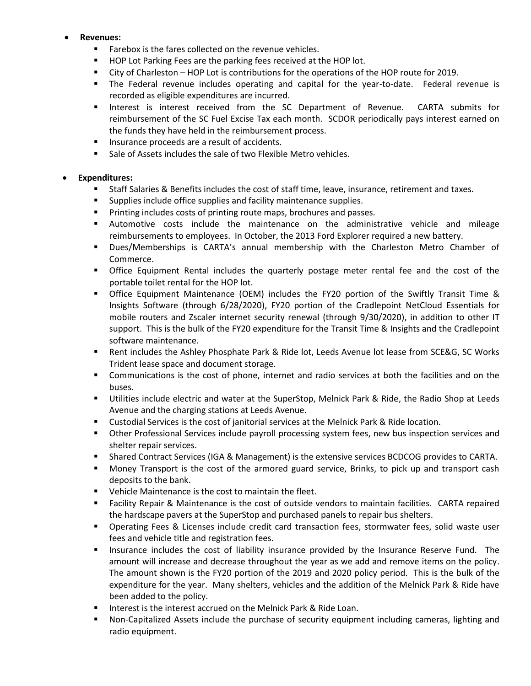### **Revenues:**

- **Farebox is the fares collected on the revenue vehicles.**
- **HOP Lot Parking Fees are the parking fees received at the HOP lot.**
- City of Charleston HOP Lot is contributions for the operations of the HOP route for 2019.
- The Federal revenue includes operating and capital for the year-to-date. Federal revenue is recorded as eligible expenditures are incurred.
- **Interest is interest received from the SC Department of Revenue. CARTA submits for** reimbursement of the SC Fuel Excise Tax each month. SCDOR periodically pays interest earned on the funds they have held in the reimbursement process.
- **Insurance proceeds are a result of accidents.**
- Sale of Assets includes the sale of two Flexible Metro vehicles.

## **Expenditures:**

- Staff Salaries & Benefits includes the cost of staff time, leave, insurance, retirement and taxes.
- **Supplies include office supplies and facility maintenance supplies.**
- **Printing includes costs of printing route maps, brochures and passes.**
- Automotive costs include the maintenance on the administrative vehicle and mileage reimbursements to employees. In October, the 2013 Ford Explorer required a new battery.
- Dues/Memberships is CARTA's annual membership with the Charleston Metro Chamber of Commerce.
- **The Set is also Equipment Rental includes the quarterly postage meter rental fee and the cost of the** portable toilet rental for the HOP lot.
- Office Equipment Maintenance (OEM) includes the FY20 portion of the Swiftly Transit Time & Insights Software (through 6/28/2020), FY20 portion of the Cradlepoint NetCloud Essentials for mobile routers and Zscaler internet security renewal (through 9/30/2020), in addition to other IT support. This is the bulk of the FY20 expenditure for the Transit Time & Insights and the Cradlepoint software maintenance.
- Rent includes the Ashley Phosphate Park & Ride lot, Leeds Avenue lot lease from SCE&G, SC Works Trident lease space and document storage.
- Communications is the cost of phone, internet and radio services at both the facilities and on the buses.
- Utilities include electric and water at the SuperStop, Melnick Park & Ride, the Radio Shop at Leeds Avenue and the charging stations at Leeds Avenue.
- Custodial Services is the cost of janitorial services at the Melnick Park & Ride location.
- Other Professional Services include payroll processing system fees, new bus inspection services and shelter repair services.
- Shared Contract Services (IGA & Management) is the extensive services BCDCOG provides to CARTA.
- Money Transport is the cost of the armored guard service, Brinks, to pick up and transport cash deposits to the bank.
- Vehicle Maintenance is the cost to maintain the fleet.
- Facility Repair & Maintenance is the cost of outside vendors to maintain facilities. CARTA repaired the hardscape pavers at the SuperStop and purchased panels to repair bus shelters.
- Operating Fees & Licenses include credit card transaction fees, stormwater fees, solid waste user fees and vehicle title and registration fees.
- **Insurance includes the cost of liability insurance provided by the Insurance Reserve Fund.** The amount will increase and decrease throughout the year as we add and remove items on the policy. The amount shown is the FY20 portion of the 2019 and 2020 policy period. This is the bulk of the expenditure for the year. Many shelters, vehicles and the addition of the Melnick Park & Ride have been added to the policy.
- **IF Interest is the interest accrued on the Melnick Park & Ride Loan.**
- Non-Capitalized Assets include the purchase of security equipment including cameras, lighting and radio equipment.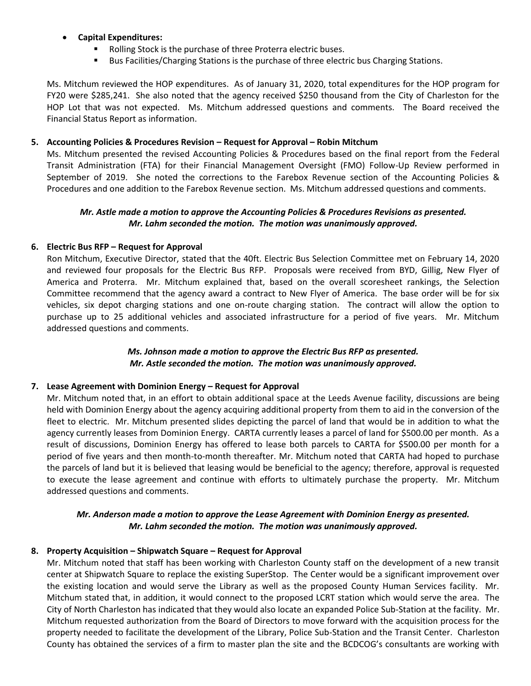## **Capital Expenditures:**

- Rolling Stock is the purchase of three Proterra electric buses.
- **Bus Facilities/Charging Stations is the purchase of three electric bus Charging Stations.**

Ms. Mitchum reviewed the HOP expenditures. As of January 31, 2020, total expenditures for the HOP program for FY20 were \$285,241. She also noted that the agency received \$250 thousand from the City of Charleston for the HOP Lot that was not expected. Ms. Mitchum addressed questions and comments. The Board received the Financial Status Report as information.

### **5. Accounting Policies & Procedures Revision – Request for Approval – Robin Mitchum**

Ms. Mitchum presented the revised Accounting Policies & Procedures based on the final report from the Federal Transit Administration (FTA) for their Financial Management Oversight (FMO) Follow-Up Review performed in September of 2019. She noted the corrections to the Farebox Revenue section of the Accounting Policies & Procedures and one addition to the Farebox Revenue section. Ms. Mitchum addressed questions and comments.

## *Mr. Astle made a motion to approve the Accounting Policies & Procedures Revisions as presented. Mr. Lahm seconded the motion. The motion was unanimously approved.*

#### **6. Electric Bus RFP – Request for Approval**

Ron Mitchum, Executive Director, stated that the 40ft. Electric Bus Selection Committee met on February 14, 2020 and reviewed four proposals for the Electric Bus RFP. Proposals were received from BYD, Gillig, New Flyer of America and Proterra. Mr. Mitchum explained that, based on the overall scoresheet rankings, the Selection Committee recommend that the agency award a contract to New Flyer of America. The base order will be for six vehicles, six depot charging stations and one on-route charging station. The contract will allow the option to purchase up to 25 additional vehicles and associated infrastructure for a period of five years. Mr. Mitchum addressed questions and comments.

## *Ms. Johnson made a motion to approve the Electric Bus RFP as presented. Mr. Astle seconded the motion. The motion was unanimously approved.*

#### **7. Lease Agreement with Dominion Energy – Request for Approval**

Mr. Mitchum noted that, in an effort to obtain additional space at the Leeds Avenue facility, discussions are being held with Dominion Energy about the agency acquiring additional property from them to aid in the conversion of the fleet to electric. Mr. Mitchum presented slides depicting the parcel of land that would be in addition to what the agency currently leases from Dominion Energy. CARTA currently leases a parcel of land for \$500.00 per month. As a result of discussions, Dominion Energy has offered to lease both parcels to CARTA for \$500.00 per month for a period of five years and then month-to-month thereafter. Mr. Mitchum noted that CARTA had hoped to purchase the parcels of land but it is believed that leasing would be beneficial to the agency; therefore, approval is requested to execute the lease agreement and continue with efforts to ultimately purchase the property. Mr. Mitchum addressed questions and comments.

## *Mr. Anderson made a motion to approve the Lease Agreement with Dominion Energy as presented. Mr. Lahm seconded the motion. The motion was unanimously approved.*

## **8. Property Acquisition – Shipwatch Square – Request for Approval**

Mr. Mitchum noted that staff has been working with Charleston County staff on the development of a new transit center at Shipwatch Square to replace the existing SuperStop. The Center would be a significant improvement over the existing location and would serve the Library as well as the proposed County Human Services facility. Mr. Mitchum stated that, in addition, it would connect to the proposed LCRT station which would serve the area. The City of North Charleston has indicated that they would also locate an expanded Police Sub-Station at the facility. Mr. Mitchum requested authorization from the Board of Directors to move forward with the acquisition process for the property needed to facilitate the development of the Library, Police Sub-Station and the Transit Center. Charleston County has obtained the services of a firm to master plan the site and the BCDCOG's consultants are working with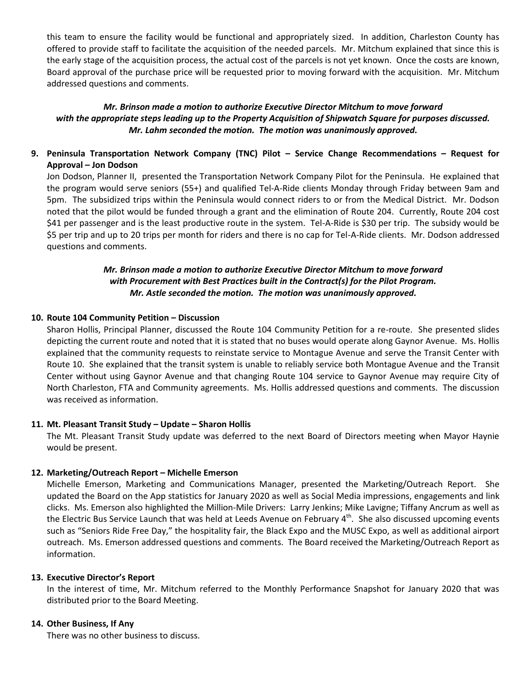this team to ensure the facility would be functional and appropriately sized. In addition, Charleston County has offered to provide staff to facilitate the acquisition of the needed parcels. Mr. Mitchum explained that since this is the early stage of the acquisition process, the actual cost of the parcels is not yet known. Once the costs are known, Board approval of the purchase price will be requested prior to moving forward with the acquisition. Mr. Mitchum addressed questions and comments.

## *Mr. Brinson made a motion to authorize Executive Director Mitchum to move forward with the appropriate steps leading up to the Property Acquisition of Shipwatch Square for purposes discussed. Mr. Lahm seconded the motion. The motion was unanimously approved.*

**9. Peninsula Transportation Network Company (TNC) Pilot – Service Change Recommendations – Request for Approval – Jon Dodson**

Jon Dodson, Planner II, presented the Transportation Network Company Pilot for the Peninsula. He explained that the program would serve seniors (55+) and qualified Tel-A-Ride clients Monday through Friday between 9am and 5pm. The subsidized trips within the Peninsula would connect riders to or from the Medical District. Mr. Dodson noted that the pilot would be funded through a grant and the elimination of Route 204. Currently, Route 204 cost \$41 per passenger and is the least productive route in the system. Tel-A-Ride is \$30 per trip. The subsidy would be \$5 per trip and up to 20 trips per month for riders and there is no cap for Tel-A-Ride clients. Mr. Dodson addressed questions and comments.

## *Mr. Brinson made a motion to authorize Executive Director Mitchum to move forward with Procurement with Best Practices built in the Contract(s) for the Pilot Program. Mr. Astle seconded the motion. The motion was unanimously approved.*

## **10. Route 104 Community Petition – Discussion**

Sharon Hollis, Principal Planner, discussed the Route 104 Community Petition for a re-route. She presented slides depicting the current route and noted that it is stated that no buses would operate along Gaynor Avenue. Ms. Hollis explained that the community requests to reinstate service to Montague Avenue and serve the Transit Center with Route 10. She explained that the transit system is unable to reliably service both Montague Avenue and the Transit Center without using Gaynor Avenue and that changing Route 104 service to Gaynor Avenue may require City of North Charleston, FTA and Community agreements. Ms. Hollis addressed questions and comments. The discussion was received as information.

#### **11. Mt. Pleasant Transit Study – Update – Sharon Hollis**

The Mt. Pleasant Transit Study update was deferred to the next Board of Directors meeting when Mayor Haynie would be present.

## **12. Marketing/Outreach Report – Michelle Emerson**

Michelle Emerson, Marketing and Communications Manager, presented the Marketing/Outreach Report. She updated the Board on the App statistics for January 2020 as well as Social Media impressions, engagements and link clicks. Ms. Emerson also highlighted the Million-Mile Drivers: Larry Jenkins; Mike Lavigne; Tiffany Ancrum as well as the Electric Bus Service Launch that was held at Leeds Avenue on February 4<sup>th</sup>. She also discussed upcoming events such as "Seniors Ride Free Day," the hospitality fair, the Black Expo and the MUSC Expo, as well as additional airport outreach. Ms. Emerson addressed questions and comments. The Board received the Marketing/Outreach Report as information.

#### **13. Executive Director's Report**

In the interest of time, Mr. Mitchum referred to the Monthly Performance Snapshot for January 2020 that was distributed prior to the Board Meeting.

#### **14. Other Business, If Any**

There was no other business to discuss.